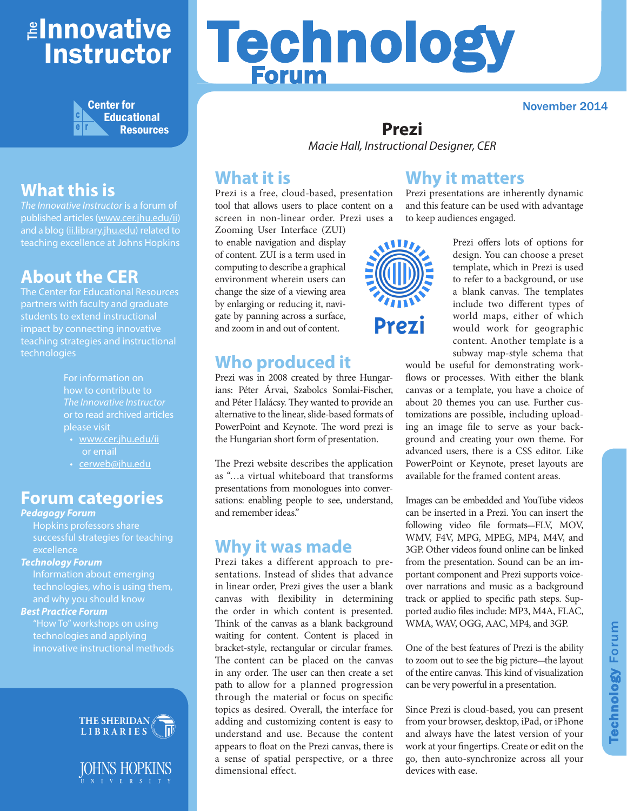## ≇l<mark>nnovative</mark> Instructor



## **What this is**

*The Innovative Instructor* is a forum of published articles (www.cer.jhu.edu/ii) and a blog (ii.library.jhu.edu) related to teaching excellence at Johns Hopkins

### **About the CER**

The Center for Educational Resources partners with faculty and graduate students to extend instructional impact by connecting innovative teaching strategies and instructional technologies

> For information on how to contribute to *The Innovative Instructor* or to read archived articles please visit

- www.cer.jhu.edu/ii or email
- cerweb@jhu.edu

#### **Forum categories**

#### *Pedagogy Forum*

Hopkins professors share successful strategies for teaching **excellence** 

#### *Technology Forum*

Information about emerging technologies, who is using them, and why you should know

#### *Best Practice Forum*

"How To" workshops on using technologies and applying innovative instructional methods





# Technology Forum

November 2014

#### **Prezi** *Macie Hall, Instructional Designer, CER*

#### **What it is**

Prezi is a free, cloud-based, presentation tool that allows users to place content on a screen in non-linear order. Prezi uses a

Zooming User Interface (ZUI) to enable navigation and display of content. ZUI is a term used in computing to describe a graphical environment wherein users can change the size of a viewing area by enlarging or reducing it, navigate by panning across a surface, and zoom in and out of content.

#### **Who produced it**

Prezi was in 2008 created by three Hungarians: Péter Árvai, Szabolcs Somlai-Fischer, and Péter Halácsy. They wanted to provide an alternative to the linear, slide-based formats of PowerPoint and Keynote. The word prezi is the Hungarian short form of presentation.

The Prezi website describes the application as "…a virtual whiteboard that transforms presentations from monologues into conversations: enabling people to see, understand, and remember ideas."

#### **Why it was made**

Prezi takes a different approach to presentations. Instead of slides that advance in linear order, Prezi gives the user a blank canvas with flexibility in determining the order in which content is presented. Think of the canvas as a blank background waiting for content. Content is placed in bracket-style, rectangular or circular frames. The content can be placed on the canvas in any order. The user can then create a set path to allow for a planned progression through the material or focus on specific topics as desired. Overall, the interface for adding and customizing content is easy to understand and use. Because the content appears to float on the Prezi canvas, there is a sense of spatial perspective, or a three dimensional effect.



#### **Why it matters**

Prezi presentations are inherently dynamic and this feature can be used with advantage to keep audiences engaged.

> Prezi offers lots of options for design. You can choose a preset template, which in Prezi is used to refer to a background, or use a blank canvas. The templates include two different types of world maps, either of which would work for geographic content. Another template is a subway map-style schema that

would be useful for demonstrating workflows or processes. With either the blank canvas or a template, you have a choice of about 20 themes you can use. Further customizations are possible, including uploading an image file to serve as your background and creating your own theme. For advanced users, there is a CSS editor. Like PowerPoint or Keynote, preset layouts are available for the framed content areas.

Images can be embedded and YouTube videos can be inserted in a Prezi. You can insert the following video file formats-FLV, MOV, WMV, F4V, MPG, MPEG, MP4, M4V, and 3GP. Other videos found online can be linked from the presentation. Sound can be an important component and Prezi supports voiceover narrations and music as a background track or applied to specific path steps. Supported audio files include: MP3, M4A, FLAC, WMA, WAV, OGG, AAC, MP4, and 3GP.

One of the best features of Prezi is the ability to zoom out to see the big picture-the layout of the entire canvas. This kind of visualization can be very powerful in a presentation.

Since Prezi is cloud-based, you can present from your browser, desktop, iPad, or iPhone and always have the latest version of your work at your fingertips. Create or edit on the go, then auto-synchronize across all your devices with ease.